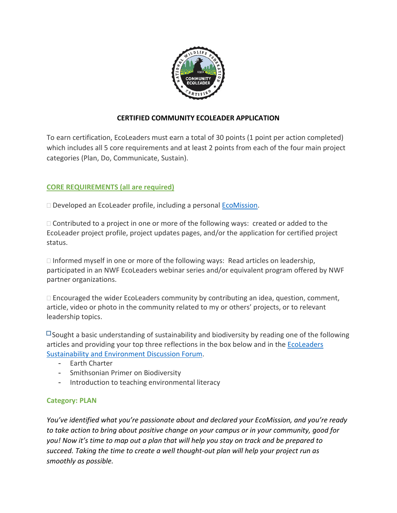

# **CERTIFIED COMMUNITY ECOLEADER APPLICATION**

To earn certification, EcoLeaders must earn a total of 30 points (1 point per action completed) which includes all 5 core requirements and at least 2 points from each of the four main project categories (Plan, Do, Communicate, Sustain).

# **CORE REQUIREMENTS (all are required)**

□ Developed an EcoLeader profile, including a personal **EcoMission**.

 $\Box$  Contributed to a project in one or more of the following ways: created or added to the EcoLeader project profile, project updates pages, and/or the application for certified project status.

 $\Box$  Informed myself in one or more of the following ways: Read articles on leadership, participated in an NWF EcoLeaders webinar series and/or equivalent program offered by NWF partner organizations.

 $\Box$  Encouraged the wider EcoLeaders community by contributing an idea, question, comment, article, video or photo in the community related to my or others' projects, or to relevant leadership topics.

 $\Box$  Sought a basic understanding of sustainability and biodiversity by reading one of the following articles and providing your top three reflections in the box below and in the EcoLeaders Sustainability and Environment Discussion Forum.

- Earth Charter
- Smithsonian Primer on Biodiversity
- Introduction to teaching environmental literacy

## **Category: PLAN**

*You've identified what you're passionate about and declared your EcoMission, and you're ready to take action to bring about positive change on your campus or in your community, good for you! Now it's time to map out a plan that will help you stay on track and be prepared to succeed. Taking the time to create a well thought-out plan will help your project run as smoothly as possible.*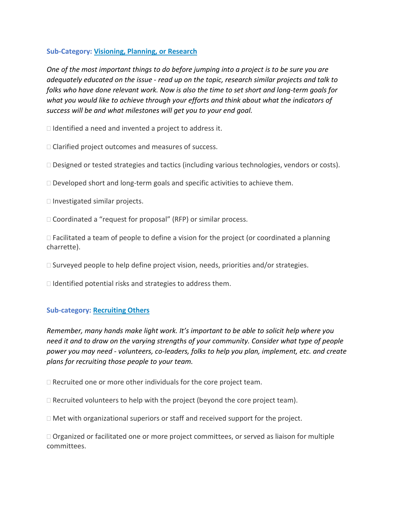### **Sub-Category: Visioning, Planning, or Research**

*One of the most important things to do before jumping into a project is to be sure you are adequately educated on the issue - read up on the topic, research similar projects and talk to folks who have done relevant work. Now is also the time to set short and long-term goals for what you would like to achieve through your efforts and think about what the indicators of success will be and what milestones will get you to your end goal.* 

 $\Box$  Identified a need and invented a project to address it.

□ Clarified project outcomes and measures of success.

□ Designed or tested strategies and tactics (including various technologies, vendors or costs).

 $\Box$  Developed short and long-term goals and specific activities to achieve them.

 $\Box$  Investigated similar projects.

□ Coordinated a "request for proposal" (RFP) or similar process.

 $\Box$  Facilitated a team of people to define a vision for the project (or coordinated a planning charrette).

 $\Box$  Surveyed people to help define project vision, needs, priorities and/or strategies.

 $\Box$  Identified potential risks and strategies to address them.

#### **Sub-category: Recruiting Others**

*Remember, many hands make light work. It's important to be able to solicit help where you need it and to draw on the varying strengths of your community. Consider what type of people power you may need - volunteers, co-leaders, folks to help you plan, implement, etc. and create plans for recruiting those people to your team.* 

 $\Box$  Recruited one or more other individuals for the core project team.

 $\Box$  Recruited volunteers to help with the project (beyond the core project team).

 $\Box$  Met with organizational superiors or staff and received support for the project.

 $\Box$  Organized or facilitated one or more project committees, or served as liaison for multiple committees.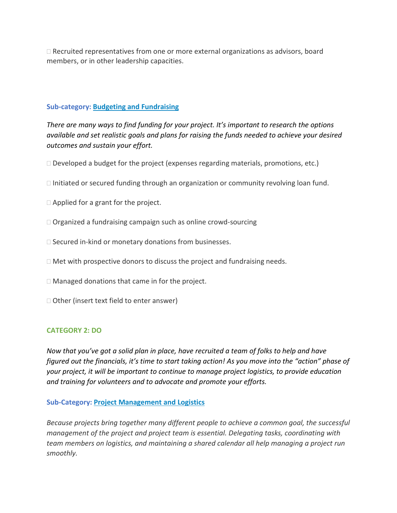$\Box$  Recruited representatives from one or more external organizations as advisors, board members, or in other leadership capacities.

## **Sub-category: Budgeting and Fundraising**

*There are many ways to find funding for your project. It's important to research the options available and set realistic goals and plans for raising the funds needed to achieve your desired outcomes and sustain your effort.*

 $\Box$  Developed a budget for the project (expenses regarding materials, promotions, etc.)

- $\Box$  Initiated or secured funding through an organization or community revolving loan fund.
- □ Applied for a grant for the project.
- □ Organized a fundraising campaign such as online crowd-sourcing
- $\square$  Secured in-kind or monetary donations from businesses.
- $\Box$  Met with prospective donors to discuss the project and fundraising needs.
- □ Managed donations that came in for the project.
- □ Other (insert text field to enter answer)

#### **CATEGORY 2: DO**

*Now that you've got a solid plan in place, have recruited a team of folks to help and have figured out the financials, it's time to start taking action! As you move into the "action" phase of your project, it will be important to continue to manage project logistics, to provide education and training for volunteers and to advocate and promote your efforts.* 

#### **Sub-Category: Project Management and Logistics**

*Because projects bring together many different people to achieve a common goal, the successful management of the project and project team is essential. Delegating tasks, coordinating with team members on logistics, and maintaining a shared calendar all help managing a project run smoothly.*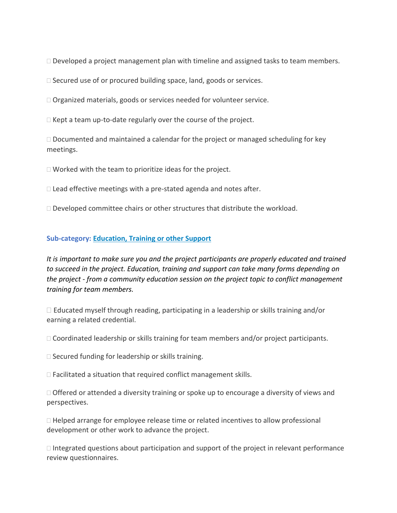$\Box$  Developed a project management plan with timeline and assigned tasks to team members.

 $\Box$  Secured use of or procured building space, land, goods or services.

□ Organized materials, goods or services needed for volunteer service.

 $\Box$  Kept a team up-to-date regularly over the course of the project.

 $\Box$  Documented and maintained a calendar for the project or managed scheduling for key meetings.

 $\Box$  Worked with the team to prioritize ideas for the project.

 $\Box$  Lead effective meetings with a pre-stated agenda and notes after.

 $\Box$  Developed committee chairs or other structures that distribute the workload.

### **Sub-category: Education, Training or other Support**

*It is important to make sure you and the project participants are properly educated and trained to succeed in the project. Education, training and support can take many forms depending on the project - from a community education session on the project topic to conflict management training for team members.* 

 $\Box$  Educated myself through reading, participating in a leadership or skills training and/or earning a related credential.

 $\Box$  Coordinated leadership or skills training for team members and/or project participants.

 $\Box$  Secured funding for leadership or skills training.

 $\Box$  Facilitated a situation that required conflict management skills.

 $\Box$  Offered or attended a diversity training or spoke up to encourage a diversity of views and perspectives.

 $\Box$  Helped arrange for employee release time or related incentives to allow professional development or other work to advance the project.

 $\Box$  Integrated questions about participation and support of the project in relevant performance review questionnaires.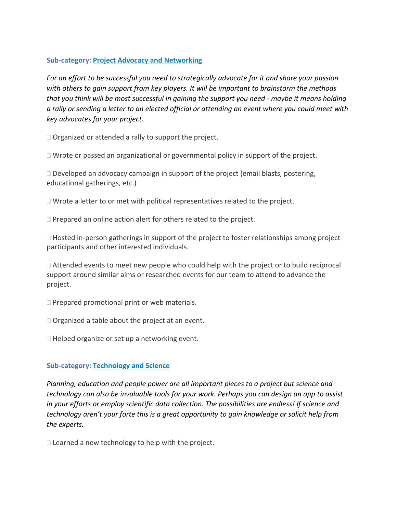## **Sub-category: Project Advocacy and Networking**

*For an effort to be successful you need to strategically advocate for it and share your passion with others to gain support from key players. It will be important to brainstorm the methods that you think will be most successful in gaining the support you need - maybe it means holding a rally or sending a letter to an elected official or attending an event where you could meet with key advocates for your project.*

 $\Box$  Organized or attended a rally to support the project.

 $\Box$  Wrote or passed an organizational or governmental policy in support of the project.

 $\Box$  Developed an advocacy campaign in support of the project (email blasts, postering, educational gatherings, etc.)

 $\Box$  Wrote a letter to or met with political representatives related to the project.

 $\Box$  Prepared an online action alert for others related to the project.

 $\Box$  Hosted in-person gatherings in support of the project to foster relationships among project participants and other interested individuals.

 $\Box$  Attended events to meet new people who could help with the project or to build reciprocal support around similar aims or researched events for our team to attend to advance the project.

 $\Box$  Prepared promotional print or web materials.

 $\Box$  Organized a table about the project at an event.

 $\Box$  Helped organize or set up a networking event.

# **Sub-category: Technology and Science**

*Planning, education and people power are all important pieces to a project but science and technology can also be invaluable tools for your work. Perhaps you can design an app to assist in your efforts or employ scientific data collection. The possibilities are endless! If science and technology aren't your forte this is a great opportunity to gain knowledge or solicit help from the experts.* 

 $\Box$  Learned a new technology to help with the project.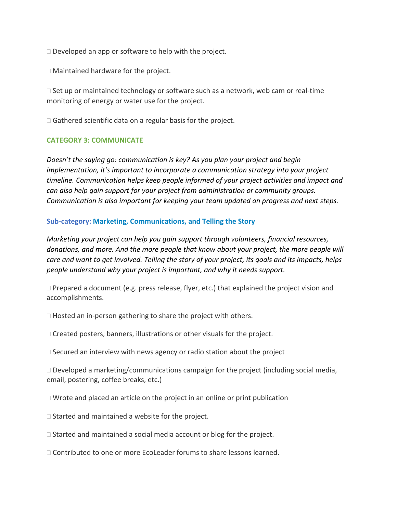$\Box$  Developed an app or software to help with the project.

□ Maintained hardware for the project.

 $\Box$  Set up or maintained technology or software such as a network, web cam or real-time monitoring of energy or water use for the project.

 $\Box$  Gathered scientific data on a regular basis for the project.

### **CATEGORY 3: COMMUNICATE**

*Doesn't the saying go: communication is key? As you plan your project and begin implementation, it's important to incorporate a communication strategy into your project timeline. Communication helps keep people informed of your project activities and impact and can also help gain support for your project from administration or community groups. Communication is also important for keeping your team updated on progress and next steps.* 

### **Sub-category: Marketing, Communications, and Telling the Story**

*Marketing your project can help you gain support through volunteers, financial resources,*  donations, and more. And the more people that know about your project, the more people will *care and want to get involved. Telling the story of your project, its goals and its impacts, helps people understand why your project is important, and why it needs support.* 

 $\Box$  Prepared a document (e.g. press release, flyer, etc.) that explained the project vision and accomplishments.

 $\Box$  Hosted an in-person gathering to share the project with others.

 $\Box$  Created posters, banners, illustrations or other visuals for the project.

 $\Box$  Secured an interview with news agency or radio station about the project

 $\Box$  Developed a marketing/communications campaign for the project (including social media, email, postering, coffee breaks, etc.)

 $\Box$  Wrote and placed an article on the project in an online or print publication

 $\square$  Started and maintained a website for the project.

 $\Box$  Started and maintained a social media account or blog for the project.

□ Contributed to one or more EcoLeader forums to share lessons learned.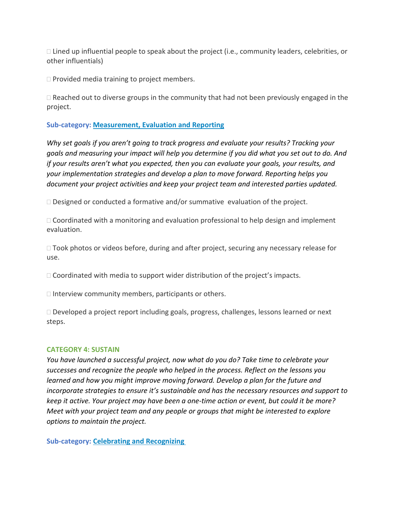$\Box$  Lined up influential people to speak about the project (i.e., community leaders, celebrities, or other influentials)

 $\Box$  Provided media training to project members.

 $\Box$  Reached out to diverse groups in the community that had not been previously engaged in the project.

## **Sub-category: Measurement, Evaluation and Reporting**

*Why set goals if you aren't going to track progress and evaluate your results? Tracking your goals and measuring your impact will help you determine if you did what you set out to do. And if your results aren't what you expected, then you can evaluate your goals, your results, and your implementation strategies and develop a plan to move forward. Reporting helps you document your project activities and keep your project team and interested parties updated.* 

 $\Box$  Designed or conducted a formative and/or summative evaluation of the project.

 $\Box$  Coordinated with a monitoring and evaluation professional to help design and implement evaluation.

 $\Box$  Took photos or videos before, during and after project, securing any necessary release for use.

 $\Box$  Coordinated with media to support wider distribution of the project's impacts.

 $\Box$  Interview community members, participants or others.

 $\Box$  Developed a project report including goals, progress, challenges, lessons learned or next steps.

#### **CATEGORY 4: SUSTAIN**

*You have launched a successful project, now what do you do? Take time to celebrate your successes and recognize the people who helped in the process. Reflect on the lessons you learned and how you might improve moving forward. Develop a plan for the future and incorporate strategies to ensure it's sustainable and has the necessary resources and support to keep it active. Your project may have been a one-time action or event, but could it be more? Meet with your project team and any people or groups that might be interested to explore options to maintain the project.* 

**Sub-category: Celebrating and Recognizing**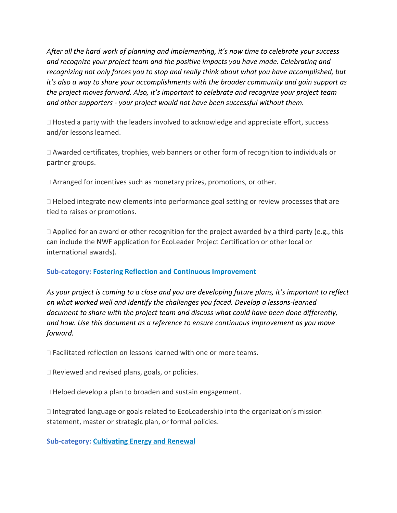*After all the hard work of planning and implementing, it's now time to celebrate your success and recognize your project team and the positive impacts you have made. Celebrating and recognizing not only forces you to stop and really think about what you have accomplished, but it's also a way to share your accomplishments with the broader community and gain support as the project moves forward. Also, it's important to celebrate and recognize your project team and other supporters - your project would not have been successful without them.* 

 $\Box$  Hosted a party with the leaders involved to acknowledge and appreciate effort, success and/or lessons learned.

 $\Box$  Awarded certificates, trophies, web banners or other form of recognition to individuals or partner groups.

 $\Box$  Arranged for incentives such as monetary prizes, promotions, or other.

□ Helped integrate new elements into performance goal setting or review processes that are tied to raises or promotions.

 $\Box$  Applied for an award or other recognition for the project awarded by a third-party (e.g., this can include the NWF application for EcoLeader Project Certification or other local or international awards).

## **Sub-category: Fostering Reflection and Continuous Improvement**

*As your project is coming to a close and you are developing future plans, it's important to reflect on what worked well and identify the challenges you faced. Develop a lessons-learned document to share with the project team and discuss what could have been done differently, and how. Use this document as a reference to ensure continuous improvement as you move forward.* 

□ Facilitated reflection on lessons learned with one or more teams.

 $\Box$  Reviewed and revised plans, goals, or policies.

 $\Box$  Helped develop a plan to broaden and sustain engagement.

 $\Box$  Integrated language or goals related to EcoLeadership into the organization's mission statement, master or strategic plan, or formal policies.

**Sub-category: Cultivating Energy and Renewal**